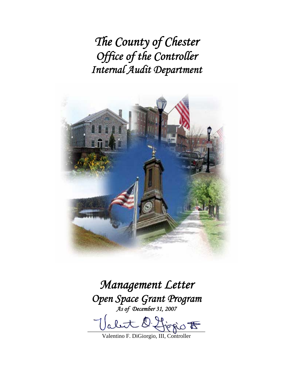*The County of Chester Office of the Controller Internal Audit Department* 



*Management Letter Open Space Grant Program As of December 31, 2007* 

O. Lionio E

Valentino F. DiGiorgio, III, Controller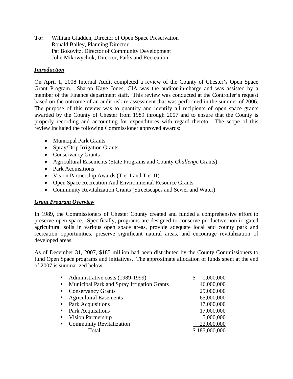**To:** William Gladden, Director of Open Space Preservation Ronald Bailey, Planning Director Pat Bokovitz, Director of Community Development John Mikowychok, Director, Parks and Recreation

# *Introduction*

On April 1, 2008 Internal Audit completed a review of the County of Chester's Open Space Grant Program. Sharon Kaye Jones, CIA was the auditor-in-charge and was assisted by a member of the Finance department staff. This review was conducted at the Controller's request based on the outcome of an audit risk re-assessment that was performed in the summer of 2006. The purpose of this review was to quantify and identify all recipients of open space grants awarded by the County of Chester from 1989 through 2007 and to ensure that the County is properly recording and accounting for expenditures with regard thereto. The scope of this review included the following Commissioner approved awards:

- Municipal Park Grants
- Spray/Drip Irrigation Grants
- Conservancy Grants
- Agricultural Easements (State Programs and County *Challenge* Grants)
- Park Acquisitions
- Vision Partnership Awards (Tier I and Tier II)
- Open Space Recreation And Environmental Resource Grants
- Community Revitalization Grants (Streetscapes and Sewer and Water).

## *Grant Program Overview*

In 1989, the Commissioners of Chester County created and funded a comprehensive effort to preserve open space. Specifically, programs are designed to conserve productive non-irrigated agricultural soils in various open space areas, provide adequate local and county park and recreation opportunities, preserve significant natural areas, and encourage revitalization of developed areas.

As of December 31, 2007, \$185 million had been distributed by the County Commissioners to fund Open Space programs and initiatives. The approximate allocation of funds spent at the end of 2007 is summarized below:

| Administrative costs (1989-1999)<br>$\mathbf{m}$ .             | 1,000,000<br>\$ |
|----------------------------------------------------------------|-----------------|
| Municipal Park and Spray Irrigation Grants<br>$\blacksquare$ . | 46,000,000      |
| <b>Conservancy Grants</b><br>$\blacksquare$                    | 29,000,000      |
| <b>Agricultural Easements</b><br>$\blacksquare$                | 65,000,000      |
| Park Acquisitions<br>$\blacksquare$ .                          | 17,000,000      |
| <b>Park Acquisitions</b><br>$\blacksquare$ .                   | 17,000,000      |
| Vision Partnership<br>$\blacksquare$                           | 5,000,000       |
| <b>Community Revitalization</b><br>$\blacksquare$              | 22,000,000      |
| Total                                                          | \$185,000,000   |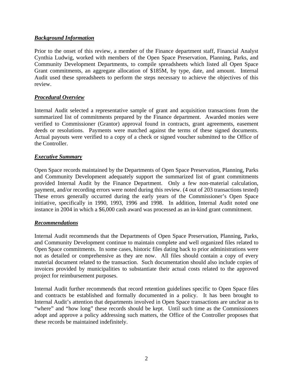## *Background Information*

Prior to the onset of this review, a member of the Finance department staff, Financial Analyst Cynthia Ludwig, worked with members of the Open Space Preservation, Planning, Parks, and Community Development Departments, to compile spreadsheets which listed all Open Space Grant commitments, an aggregate allocation of \$185M, by type, date, and amount. Internal Audit used these spreadsheets to perform the steps necessary to achieve the objectives of this review.

### *Procedural Overview*

Internal Audit selected a representative sample of grant and acquisition transactions from the summarized list of commitments prepared by the Finance department. Awarded monies were verified to Commissioner (Grantor) approval found in contracts, grant agreements, easement deeds or resolutions. Payments were matched against the terms of these signed documents. Actual payouts were verified to a copy of a check or signed voucher submitted to the Office of the Controller.

### *Executive Summary*

Open Space records maintained by the Departments of Open Space Preservation, Planning, Parks and Community Development adequately support the summarized list of grant commitments provided Internal Audit by the Finance Department. Only a few non-material calculation, payment, and/or recording errors were noted during this review. (4 out of 203 transactions tested) These errors generally occurred during the early years of the Commissioner's Open Space initiative, specifically in 1990, 1993, 1996 and 1998. In addition, Internal Audit noted one instance in 2004 in which a \$6,000 cash award was processed as an in-kind grant commitment.

### *Recommendations*

Internal Audit recommends that the Departments of Open Space Preservation, Planning, Parks, and Community Development continue to maintain complete and well organized files related to Open Space commitments. In some cases, historic files dating back to prior administrations were not as detailed or comprehensive as they are now. All files should contain a copy of every material document related to the transaction. Such documentation should also include copies of invoices provided by municipalities to substantiate their actual costs related to the approved project for reimbursement purposes.

Internal Audit further recommends that record retention guidelines specific to Open Space files and contracts be established and formally documented in a policy. It has been brought to Internal Audit's attention that departments involved in Open Space transactions are unclear as to "where" and "how long" these records should be kept. Until such time as the Commissioners adopt and approve a policy addressing such matters, the Office of the Controller proposes that these records be maintained indefinitely.